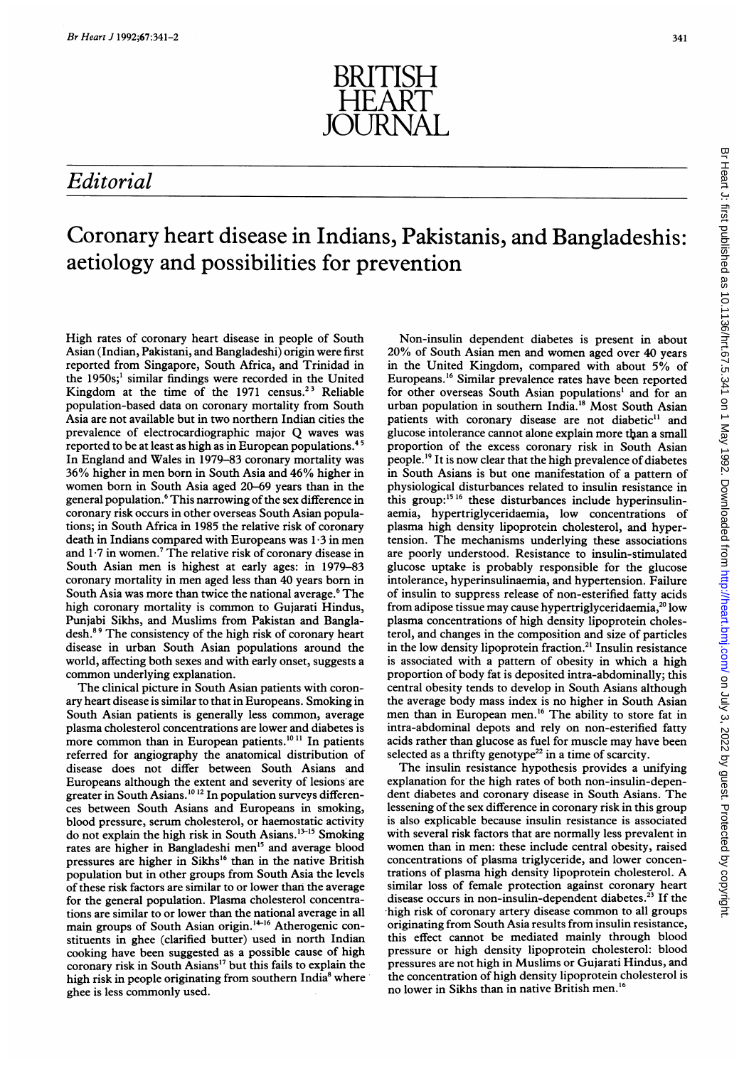

## Editorial

## Coronary heart disease in Indians, Pakistanis, and Bangladeshis: aetiology and possibilities for prevention

High rates of coronary heart disease in people of South Asian (Indian, Pakistani, and Bangladeshi) origin were first reported from Singapore, South Africa, and Trinidad in the 1950s;' similar findings were recorded in the United Kingdom at the time of the 1971 census.<sup>23</sup> Reliable population-based data on coronary mortality from South Asia are not available but in two northem Indian cities the prevalence of electrocardiographic major Q waves was reported to be at least as high as in European populations.45 In England and Wales in 1979-83 coronary mortality was 36% higher in men born in South Asia and 46% higher in women born in South Asia aged 20-69 years than in the general population.<sup>6</sup> This narrowing of the sex difference in coronary risk occurs in other overseas South Asian populations; in South Africa in <sup>1985</sup> the relative risk of coronary death in Indians compared with Europeans was 1-3 in men and  $1.7$  in women.<sup>7</sup> The relative risk of coronary disease in South Asian men is highest at early ages: in 1979-83 coronary mortality in men aged less than 40 years bom in South Asia was more than twice the national average.<sup>6</sup> The high coronary mortality is common to Gujarati Hindus, Punjabi Sikhs, and Muslims from Pakistan and Bangladesh.89 The consistency of the high risk of coronary heart disease in urban South Asian populations around the world, affecting both sexes and with early onset, suggests a common underlying explanation.

The clinical picture in South Asian patients with coronary heart disease is similar to that in Europeans. Smoking in South Asian patients is generally less common, average plasma cholesterol concentrations are lower and diabetes is more common than in European patients.<sup>1011</sup> In patients referred for angiography the anatomical distribution of disease does not differ between South Asians and Europeans although the extent and severity of lesions are greater in South Asians.<sup>10 12</sup> In population surveys differences between South Asians and Europeans in smoking, blood pressure, serum cholesterol, or haemostatic activity do not explain the high risk in South Asians.<sup>13-15</sup> Smoking rates are higher in Bangladeshi men'5 and average blood pressures are higher in Sikhs'6 than in the native British population but in other groups from South Asia the levels of these risk factors are similar to or lower than" the average for the general population. Plasma cholesterol concentrations are similar to or lower than the national average in all main groups of South Asian origin.<sup>14-16</sup> Atherogenic constituents in ghee (clarified butter) used in north Indian cooking have been suggested as a possible cause of high coronary risk in South Asians'7 but this fails to explain the high risk in people originating from southern India<sup>8</sup> where ghee is less commonly used.

Non-insulin dependent diabetes is present in about 20% of South Asian men and women aged over 40 years in the United Kingdom, compared with about 5% of Europeans.'6 Similar prevalence rates have been reported for other overseas South Asian populations' and for an urban population in southern India.'8 Most South Asian patients with coronary disease are not diabetic<sup>11</sup> and glucose intolerance cannot alone explain more than a small proportion of the excess coronary risk in South Asian people.'9 It is now clear that the high prevalence of diabetes in South Asians is but one manifestation of a pattern of physiological disturbances related to insulin resistance in this group:<sup>15 16</sup> these disturbances include hyperinsulinaemia, hypertriglyceridaemia, low concentrations of plasma high density lipoprotein cholesterol, and hypertension. The mechanisms underlying these associations are poorly understood. Resistance to insulin-stimulated glucose uptake is probably responsible for the glucose intolerance, hyperinsulinaemia, and hypertension. Failure of insulin to suppress release of non-esterified fatty acids from adipose tissue may cause hypertriglyceridaemia,<sup>20</sup> low plasma concentrations of high density lipoprotein cholesterol, and changes in the composition and size of particles in the low density lipoprotein fraction.<sup>21</sup> Insulin resistance is associated with a pattern of obesity in which a high proportion of body fat is deposited intra-abdominally; this central obesity tends to develop in South Asians although the average body mass index is no higher in South Asian men than in European men.'6 The ability to store fat in intra-abdominal depots and rely on non-esterified fatty acids rather than glucose as fuel for muscle may have been selected as a thrifty genotype<sup>22</sup> in a time of scarcity.

The insulin resistance hypothesis provides a unifying explanation for the high rates of both non-insulin-dependent diabetes and coronary disease in South Asians. The lessening of the sex difference in coronary risk in this group is also explicable because insulin resistance is associated with several risk factors that are normally less prevalent in women than in men: these include central obesity, raised concentrations of plasma triglyceride, and lower concentrations of plasma high density lipoprotein cholesterol. A similar loss of female protection against coronary heart disease occurs in non-insulin-dependent diabetes.<sup>23</sup> If the -high risk of coronary artery disease common to all groups originating from South Asia results from insulin resistance, this effect cannot be mediated mainly through blood pressure or high density lipoprotein cholesterol: blood pressures are not high in Muslims or Gujarati Hindus, and the concentration of high density lipoprotein cholesterol is no lower in Sikhs than in native British men.<sup>1</sup>